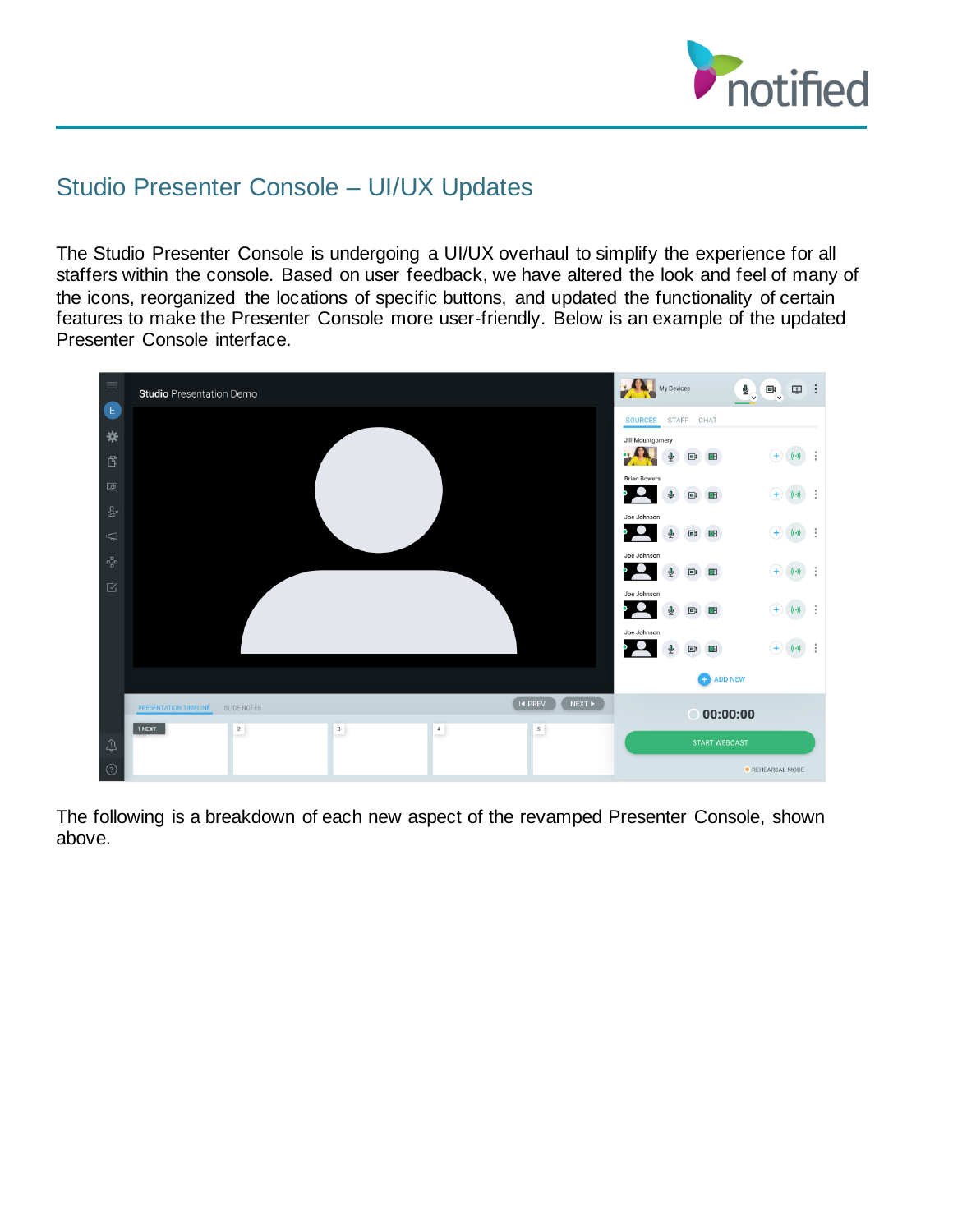

# Studio Presenter Console – UI/UX Updates

The Studio Presenter Console is undergoing a UI/UX overhaul to simplify the experience for all staffers within the console. Based on user feedback, we have altered the look and feel of many of the icons, reorganized the locations of specific buttons, and updated the functionality of certain features to make the Presenter Console more user-friendly. Below is an example of the updated Presenter Console interface.



The following is a breakdown of each new aspect of the revamped Presenter Console, shown above.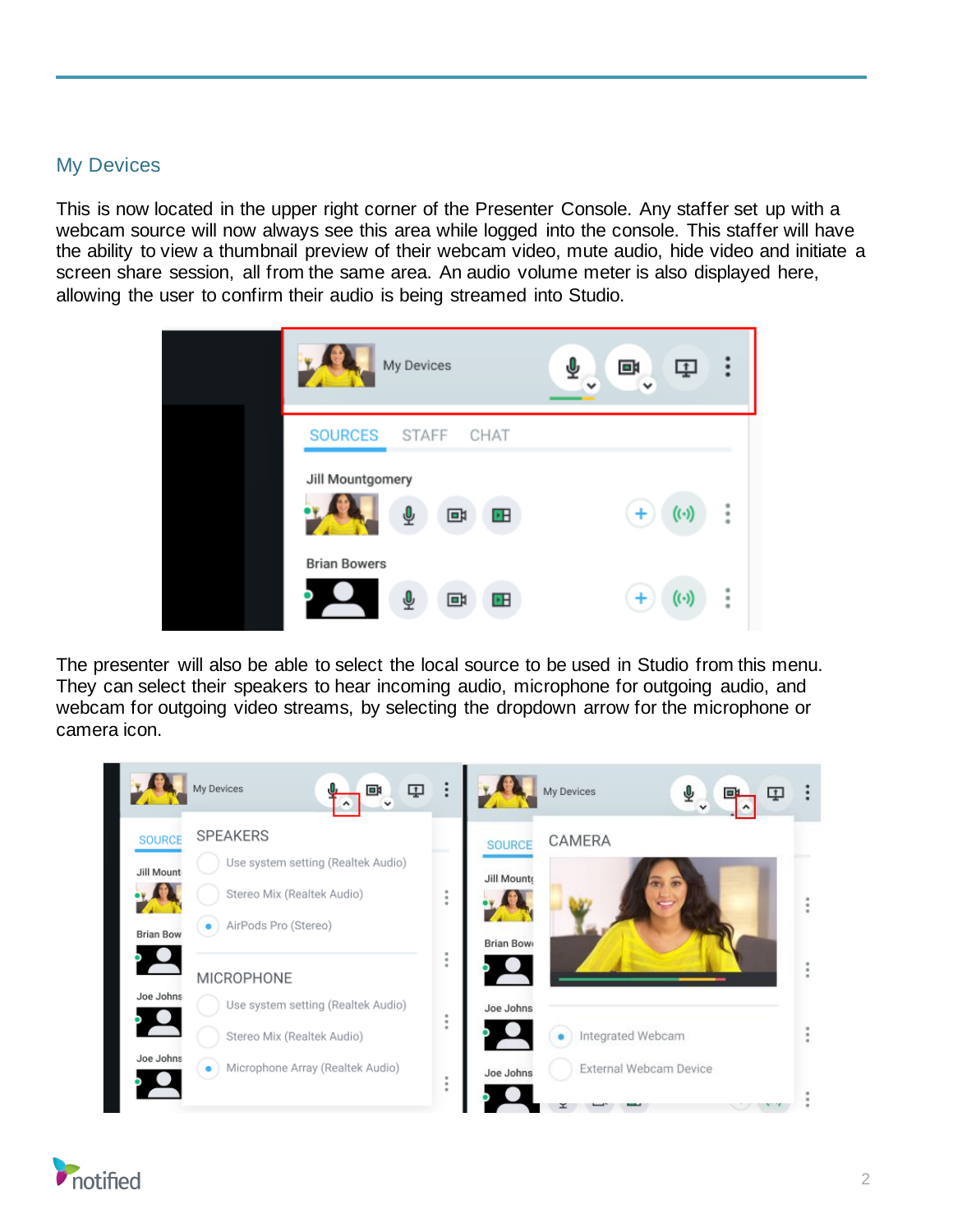### My Devices

This is now located in the upper right corner of the Presenter Console. Any staffer set up with a webcam source will now always see this area while logged into the console. This staffer will have the ability to view a thumbnail preview of their webcam video, mute audio, hide video and initiate a screen share session, all from the same area. An audio volume meter is also displayed here, allowing the user to confirm their audio is being streamed into Studio.



The presenter will also be able to select the local source to be used in Studio from this menu. They can select their speakers to hear incoming audio, microphone for outgoing audio, and webcam for outgoing video streams, by selecting the dropdown arrow for the microphone or camera icon.



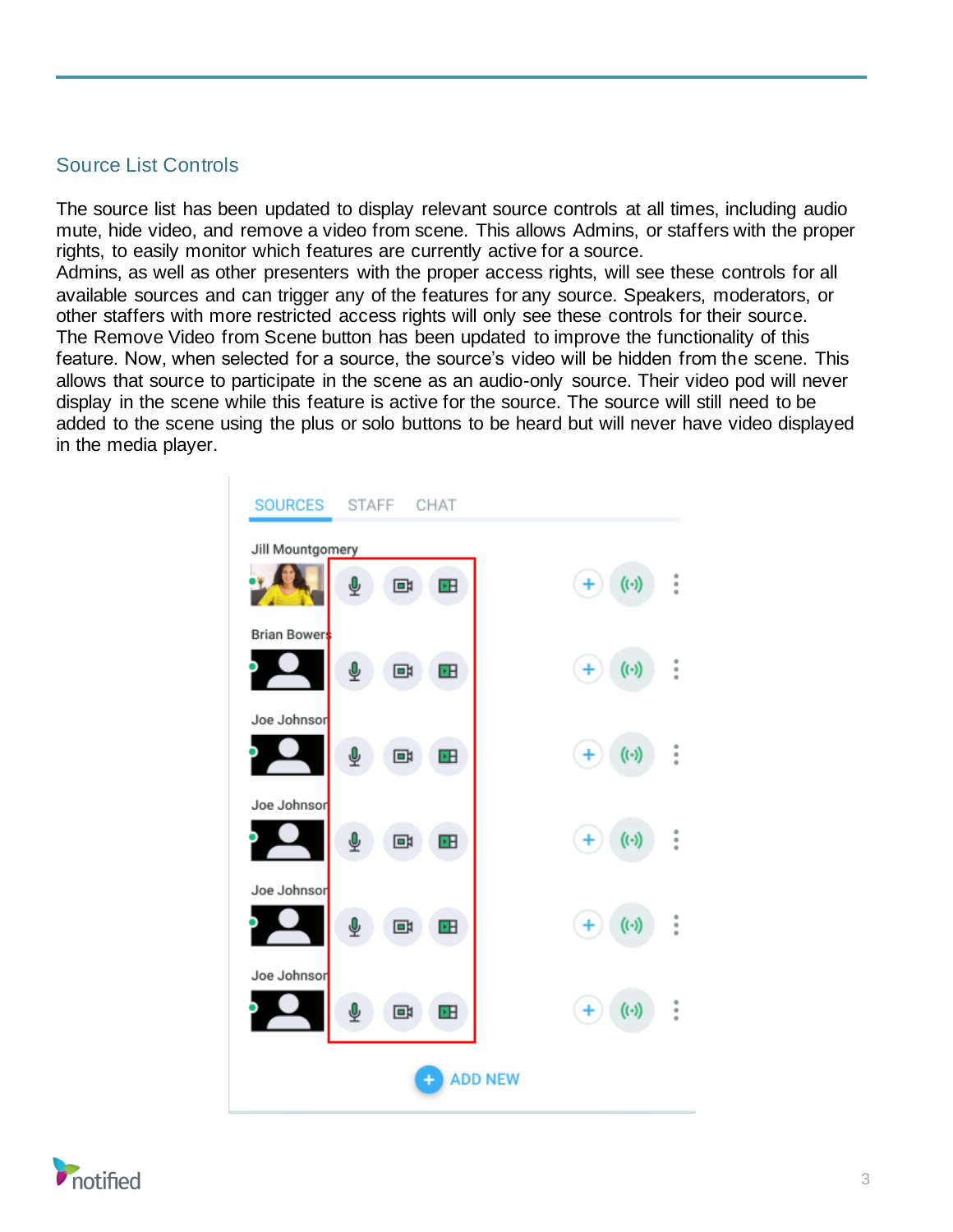#### Source List Controls

The source list has been updated to display relevant source controls at all times, including audio mute, hide video, and remove a video from scene. This allows Admins, or staffers with the proper rights, to easily monitor which features are currently active for a source.

Admins, as well as other presenters with the proper access rights, will see these controls for all available sources and can trigger any of the features for any source. Speakers, moderators, or other staffers with more restricted access rights will only see these controls for their source. The Remove Video from Scene button has been updated to improve the functionality of this feature. Now, when selected for a source, the source's video will be hidden from the scene. This allows that source to participate in the scene as an audio-only source. Their video pod will never display in the scene while this feature is active for the source. The source will still need to be added to the scene using the plus or solo buttons to be heard but will never have video displayed in the media player.



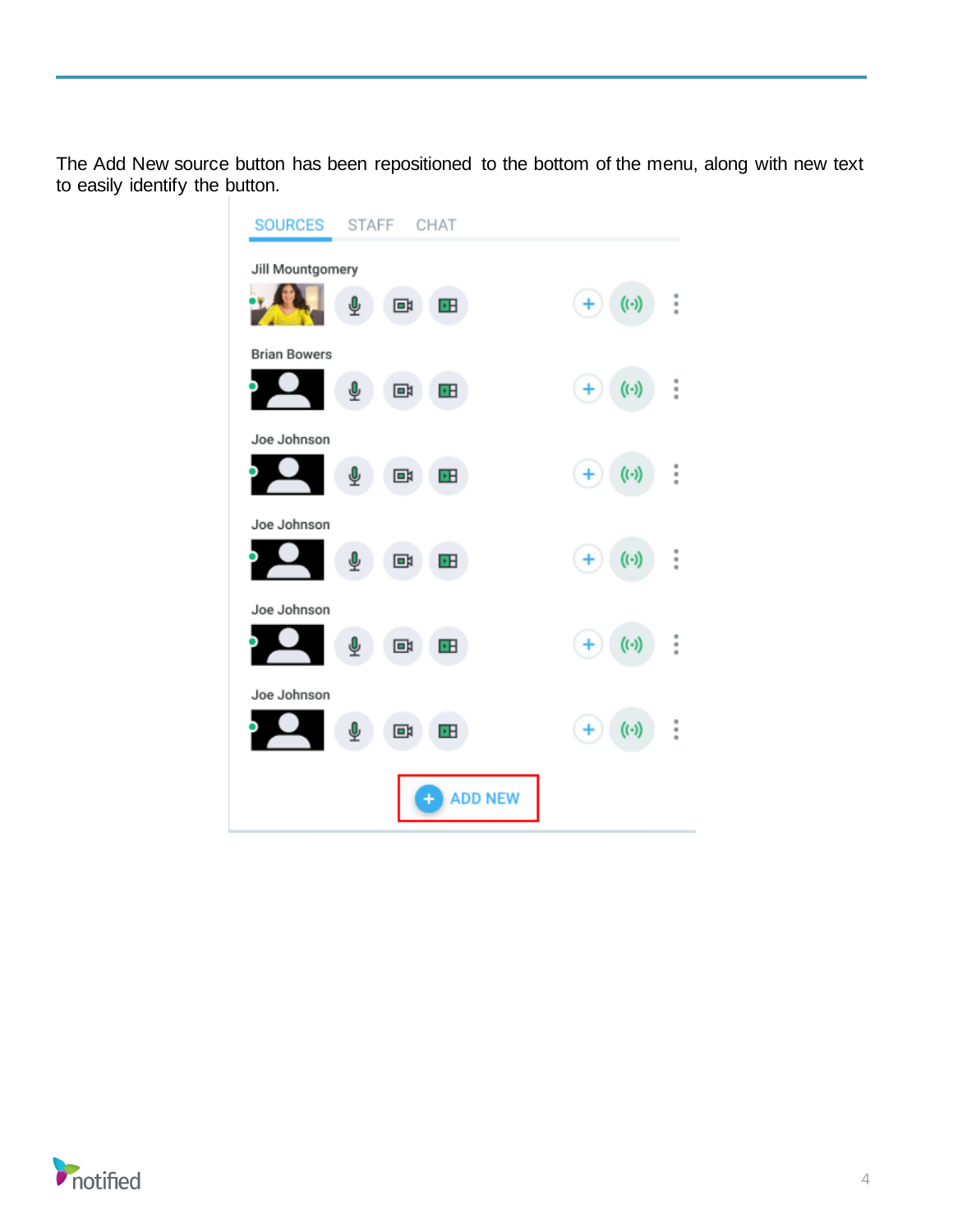The Add New source button has been repositioned to the bottom of the menu, along with new text to easily identify the button.



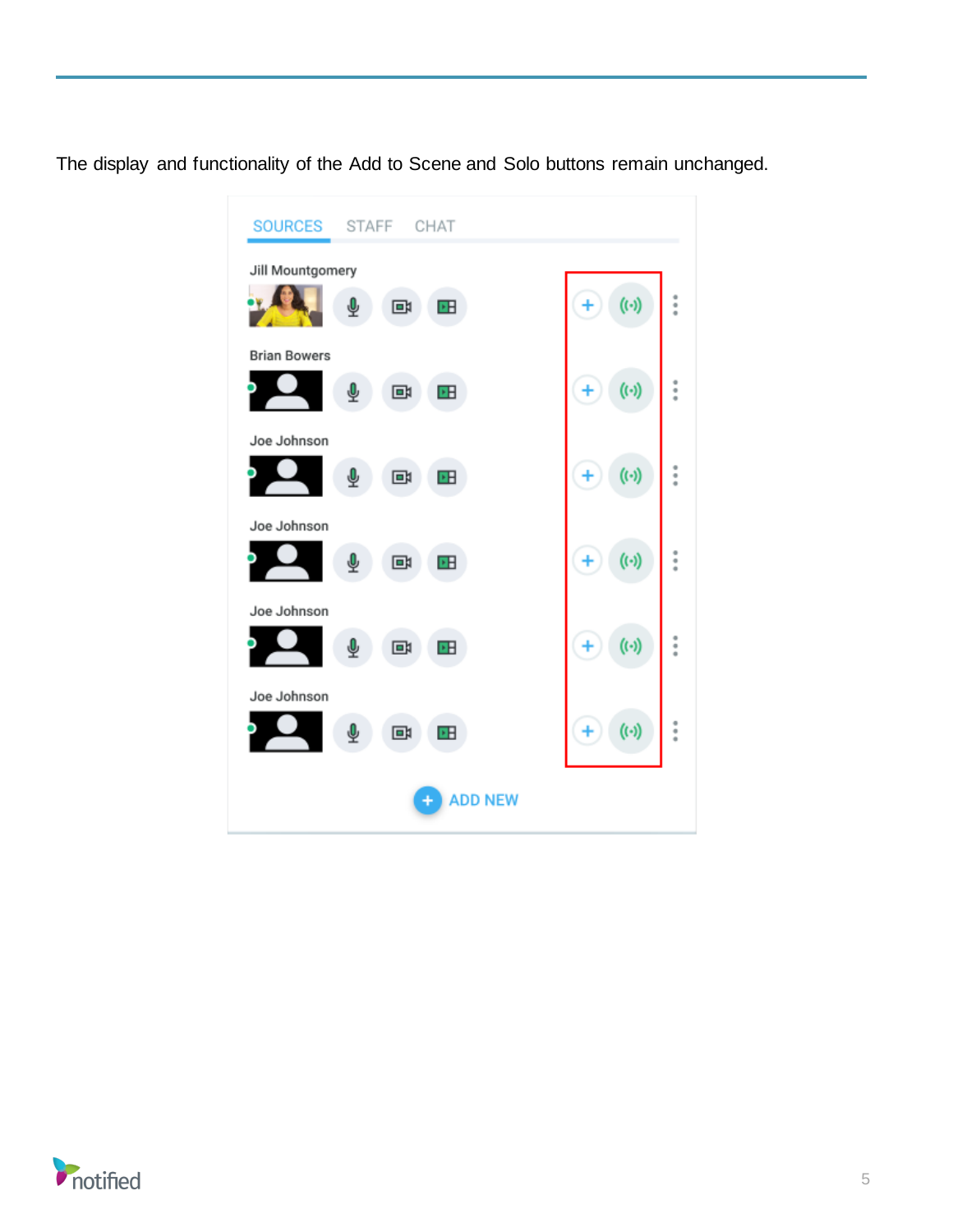The display and functionality of the Add to Scene and Solo buttons remain unchanged.



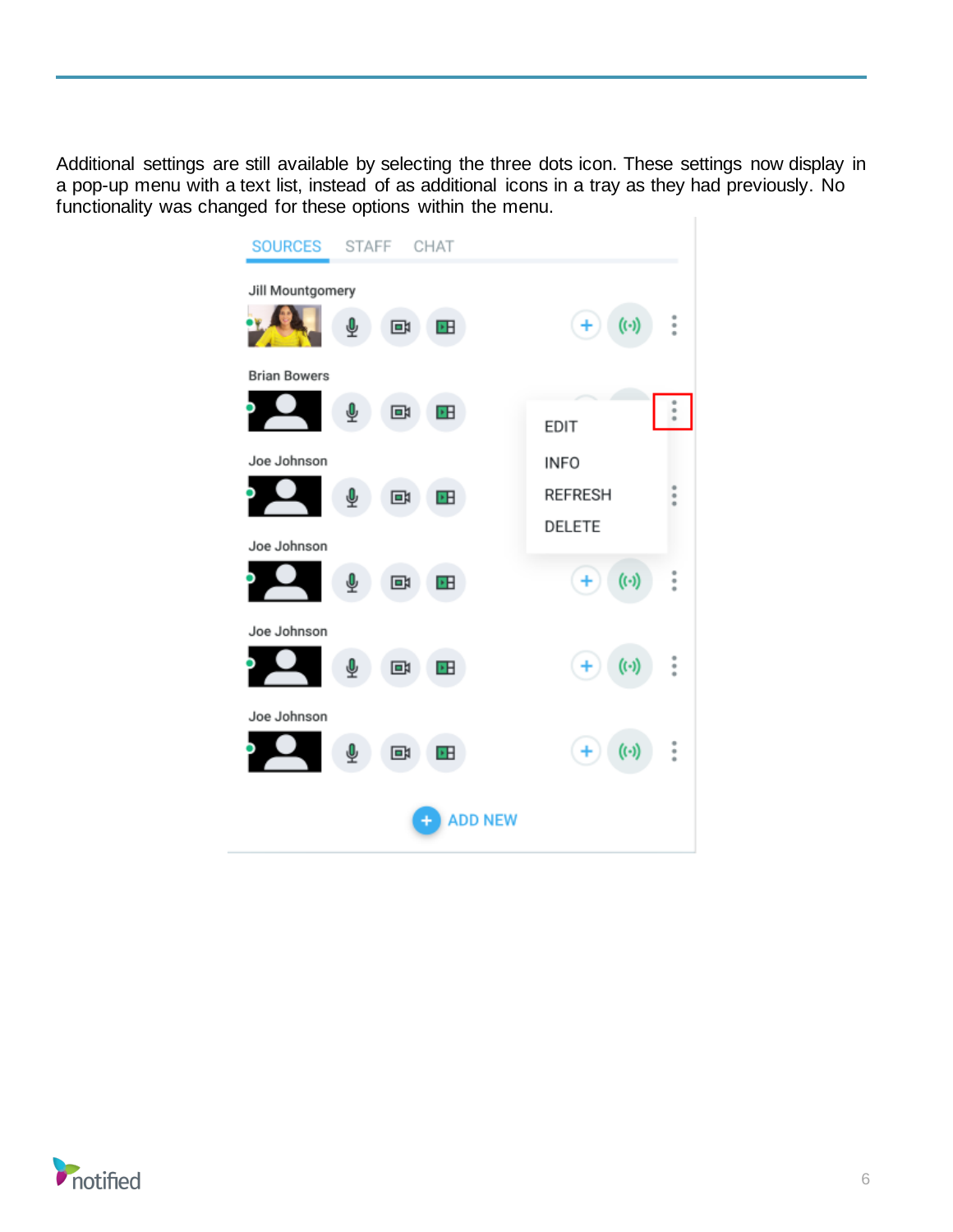Additional settings are still available by selecting the three dots icon. These settings now display in a pop-up menu with a text list, instead of as additional icons in a tray as they had previously. No functionality was changed for these options within the menu.

| <b>SOURCES</b><br>STAFF CHAT        |                                                     |  |  |  |  |  |
|-------------------------------------|-----------------------------------------------------|--|--|--|--|--|
| Jill Mountgomery<br>⊻<br>回<br>ÞН    | $\vdots$<br>$(\cdot)$<br>$+$                        |  |  |  |  |  |
| <b>Brian Bowers</b><br>ѱ<br>回<br>ÞН | $\ddot{\phantom{a}}$<br><b>EDIT</b>                 |  |  |  |  |  |
| Joe Johnson<br>ÞН<br>回<br>⋓         | <b>INFO</b><br><b>REFRESH</b><br>۰<br><b>DELETE</b> |  |  |  |  |  |
| Joe Johnson<br>回<br>ÞН              | $\ddot{\cdot}$<br>$(\cdot)$<br>$+$                  |  |  |  |  |  |
| Joe Johnson<br>۰H<br>回              | $\ddot{\cdot}$<br>$(\cdot)$<br>÷                    |  |  |  |  |  |
| Joe Johnson<br>回<br>⊻<br>۰B         | $\ddot{.}$<br>$(\cdot)$<br>$\ddot{}$                |  |  |  |  |  |
| <b>ADD NEW</b>                      |                                                     |  |  |  |  |  |